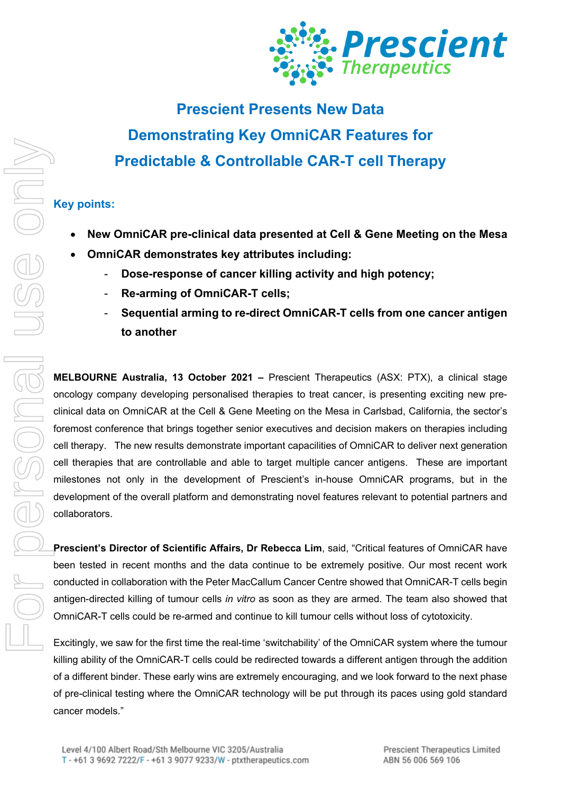

# **Prescient Presents New Data Demonstrating Key OmniCAR Features for Predictable & Controllable CAR-T cell Therapy**

# **Key points:**

- **New OmniCAR pre-clinical data presented at Cell & Gene Meeting on the Mesa**
- **OmniCAR demonstrates key attributes including:**
	- **Dose-response of cancer killing activity and high potency;**
	- **Re-arming of OmniCAR-T cells;**
	- **Sequential arming to re-direct OmniCAR-T cells from one cancer antigen to another**

**MELBOURNE Australia, 13 October 2021 –** Prescient Therapeutics (ASX: PTX), a clinical stage oncology company developing personalised therapies to treat cancer, is presenting exciting new preclinical data on OmniCAR at the Cell & Gene Meeting on the Mesa in Carlsbad, California, the sector's foremost conference that brings together senior executives and decision makers on therapies including cell therapy. The new results demonstrate important capacilities of OmniCAR to deliver next generation cell therapies that are controllable and able to target multiple cancer antigens. These are important milestones not only in the development of Prescient's in-house OmniCAR programs, but in the development of the overall platform and demonstrating novel features relevant to potential partners and collaborators.

**Prescient's Director of Scientific Affairs, Dr Rebecca Lim**, said, "Critical features of OmniCAR have been tested in recent months and the data continue to be extremely positive. Our most recent work conducted in collaboration with the Peter MacCallum Cancer Centre showed that OmniCAR-T cells begin antigen-directed killing of tumour cells *in vitro* as soon as they are armed. The team also showed that OmniCAR-T cells could be re-armed and continue to kill tumour cells without loss of cytotoxicity.

Excitingly, we saw for the first time the real-time 'switchability' of the OmniCAR system where the tumour killing ability of the OmniCAR-T cells could be redirected towards a different antigen through the addition of a different binder. These early wins are extremely encouraging, and we look forward to the next phase of pre-clinical testing where the OmniCAR technology will be put through its paces using gold standard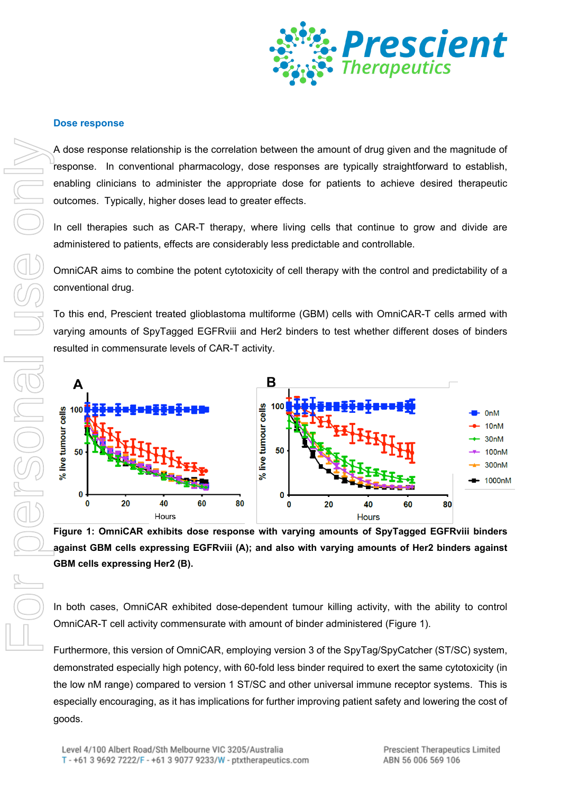

#### **Dose response**

A dose response relationship is the correlation between the amount of drug given and the magnitude of response. In conventional pharmacology, dose responses are typically straightforward to establish, enabling clinicians to administer the appropriate dose for patients to achieve desired therapeutic outcomes. Typically, higher doses lead to greater effects.

In cell therapies such as CAR-T therapy, where living cells that continue to grow and divide are administered to patients, effects are considerably less predictable and controllable.

OmniCAR aims to combine the potent cytotoxicity of cell therapy with the control and predictability of a conventional drug.

To this end, Prescient treated glioblastoma multiforme (GBM) cells with OmniCAR-T cells armed with varying amounts of SpyTagged EGFRviii and Her2 binders to test whether different doses of binders resulted in commensurate levels of CAR-T activity.



**Figure 1: OmniCAR exhibits dose response with varying amounts of SpyTagged EGFRviii binders against GBM cells expressing EGFRviii (A); and also with varying amounts of Her2 binders against GBM cells expressing Her2 (B).** 

In both cases, OmniCAR exhibited dose-dependent tumour killing activity, with the ability to control OmniCAR-T cell activity commensurate with amount of binder administered (Figure 1).

Furthermore, this version of OmniCAR, employing version 3 of the SpyTag/SpyCatcher (ST/SC) system, demonstrated especially high potency, with 60-fold less binder required to exert the same cytotoxicity (in the low nM range) compared to version 1 ST/SC and other universal immune receptor systems. This is especially encouraging, as it has implications for further improving patient safety and lowering the cost of goods.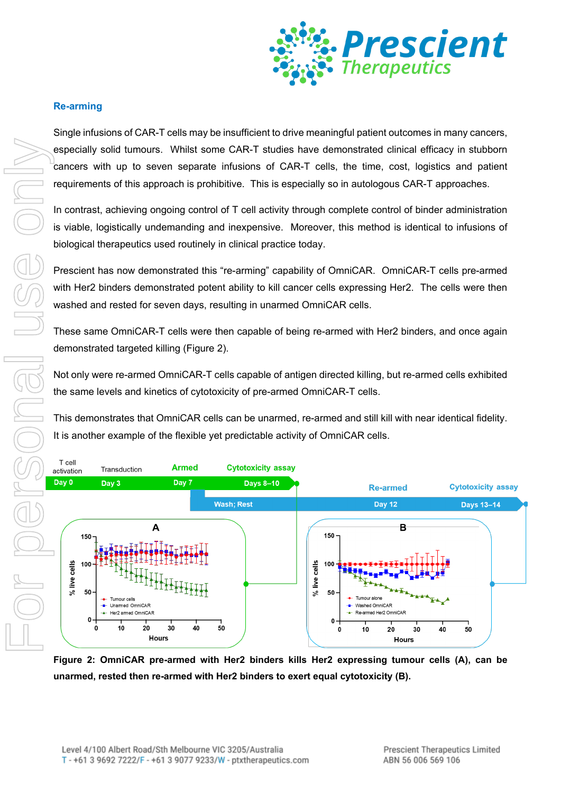

## **Re-arming**

Single infusions of CAR-T cells may be insufficient to drive meaningful patient outcomes in many cancers, especially solid tumours. Whilst some CAR-T studies have demonstrated clinical efficacy in stubborn cancers with up to seven separate infusions of CAR-T cells, the time, cost, logistics and patient requirements of this approach is prohibitive. This is especially so in autologous CAR-T approaches.

In contrast, achieving ongoing control of T cell activity through complete control of binder administration is viable, logistically undemanding and inexpensive. Moreover, this method is identical to infusions of biological therapeutics used routinely in clinical practice today.

Prescient has now demonstrated this "re-arming" capability of OmniCAR. OmniCAR-T cells pre-armed with Her2 binders demonstrated potent ability to kill cancer cells expressing Her2. The cells were then washed and rested for seven days, resulting in unarmed OmniCAR cells.

These same OmniCAR-T cells were then capable of being re-armed with Her2 binders, and once again demonstrated targeted killing (Figure 2).

Not only were re-armed OmniCAR-T cells capable of antigen directed killing, but re-armed cells exhibited the same levels and kinetics of cytotoxicity of pre-armed OmniCAR-T cells.

This demonstrates that OmniCAR cells can be unarmed, re-armed and still kill with near identical fidelity. It is another example of the flexible yet predictable activity of OmniCAR cells.



**Figure 2: OmniCAR pre-armed with Her2 binders kills Her2 expressing tumour cells (A), can be**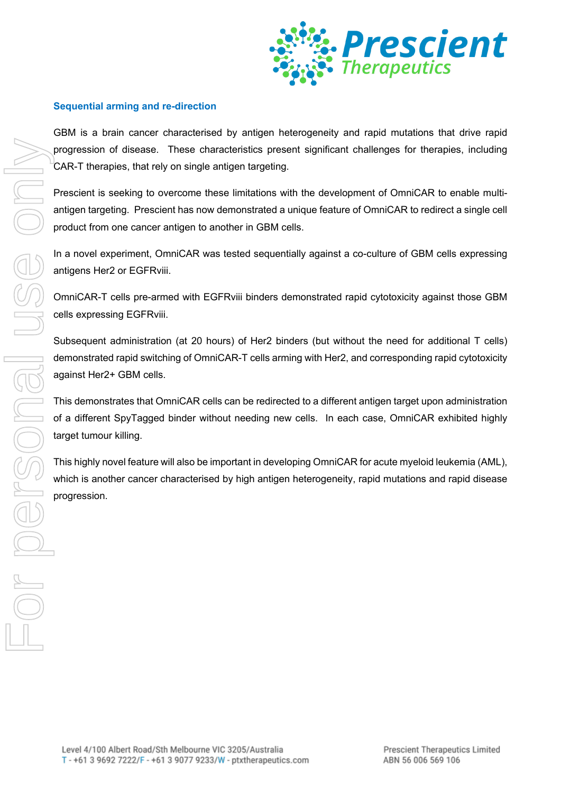

#### **Sequential arming and re-direction**

GBM is a brain cancer characterised by antigen heterogeneity and rapid mutations that drive rapid progression of disease. These characteristics present significant challenges for therapies, including CAR-T therapies, that rely on single antigen targeting.

Prescient is seeking to overcome these limitations with the development of OmniCAR to enable multiantigen targeting. Prescient has now demonstrated a unique feature of OmniCAR to redirect a single cell product from one cancer antigen to another in GBM cells.

In a novel experiment, OmniCAR was tested sequentially against a co-culture of GBM cells expressing antigens Her2 or EGFRviii.

OmniCAR-T cells pre-armed with EGFRviii binders demonstrated rapid cytotoxicity against those GBM cells expressing EGFRviii.

Subsequent administration (at 20 hours) of Her2 binders (but without the need for additional T cells) demonstrated rapid switching of OmniCAR-T cells arming with Her2, and corresponding rapid cytotoxicity against Her2+ GBM cells.

This demonstrates that OmniCAR cells can be redirected to a different antigen target upon administration of a different SpyTagged binder without needing new cells. In each case, OmniCAR exhibited highly target tumour killing.

This highly novel feature will also be important in developing OmniCAR for acute myeloid leukemia (AML), which is another cancer characterised by high antigen heterogeneity, rapid mutations and rapid disease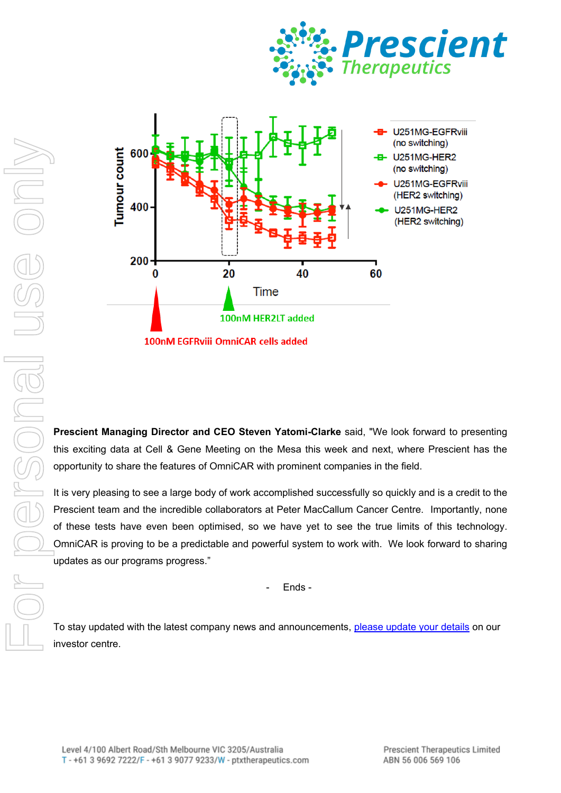



**Prescient Managing Director and CEO Steven Yatomi-Clarke** said, "We look forward to presenting this exciting data at Cell & Gene Meeting on the Mesa this week and next, where Prescient has the opportunity to share the features of OmniCAR with prominent companies in the field.

It is very pleasing to see a large body of work accomplished successfully so quickly and is a credit to the Prescient team and the incredible collaborators at Peter MacCallum Cancer Centre. Importantly, none of these tests have even been optimised, so we have yet to see the true limits of this technology. OmniCAR is proving to be a predictable and powerful system to work with. We look forward to sharing updates as our programs progress."

- Ends -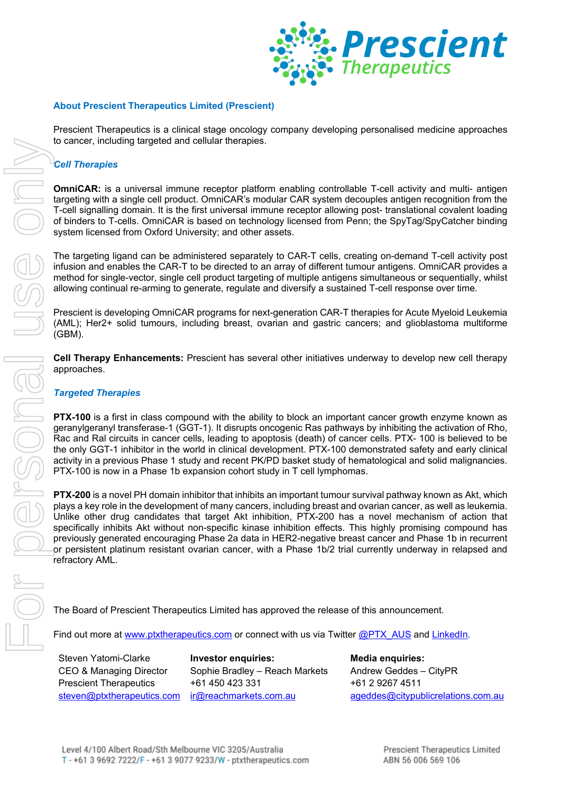

#### **About Prescient Therapeutics Limited (Prescient)**

Prescient Therapeutics is a clinical stage oncology company developing personalised medicine approaches to cancer, including targeted and cellular therapies.

#### *Cell Therapies*

**OmniCAR:** is a universal immune receptor platform enabling controllable T-cell activity and multi- antigen targeting with a single cell product. OmniCAR's modular CAR system decouples antigen recognition from the T-cell signalling domain. It is the first universal immune receptor allowing post- translational covalent loading of binders to T-cells. OmniCAR is based on technology licensed from Penn; the SpyTag/SpyCatcher binding system licensed from Oxford University; and other assets.

The targeting ligand can be administered separately to CAR-T cells, creating on-demand T-cell activity post infusion and enables the CAR-T to be directed to an array of different tumour antigens. OmniCAR provides a method for single-vector, single cell product targeting of multiple antigens simultaneous or sequentially, whilst allowing continual re-arming to generate, regulate and diversify a sustained T-cell response over time.

Prescient is developing OmniCAR programs for next-generation CAR-T therapies for Acute Myeloid Leukemia (AML); Her2+ solid tumours, including breast, ovarian and gastric cancers; and glioblastoma multiforme (GBM).

**Cell Therapy Enhancements:** Prescient has several other initiatives underway to develop new cell therapy approaches.

#### *Targeted Therapies*

**PTX-100** is a first in class compound with the ability to block an important cancer growth enzyme known as geranylgeranyl transferase-1 (GGT-1). It disrupts oncogenic Ras pathways by inhibiting the activation of Rho, Rac and Ral circuits in cancer cells, leading to apoptosis (death) of cancer cells. PTX- 100 is believed to be the only GGT-1 inhibitor in the world in clinical development. PTX-100 demonstrated safety and early clinical activity in a previous Phase 1 study and recent PK/PD basket study of hematological and solid malignancies. PTX-100 is now in a Phase 1b expansion cohort study in T cell lymphomas.

**PTX-200** is a novel PH domain inhibitor that inhibits an important tumour survival pathway known as Akt, which plays a key role in the development of many cancers, including breast and ovarian cancer, as well as leukemia. Unlike other drug candidates that target Akt inhibition, PTX-200 has a novel mechanism of action that specifically inhibits Akt without non-specific kinase inhibition effects. This highly promising compound has previously generated encouraging Phase 2a data in HER2-negative breast cancer and Phase 1b in recurrent or persistent platinum resistant ovarian cancer, with a Phase 1b/2 trial currently underway in relapsed and refractory AML.

The Board of Prescient Therapeutics Limited has approved the release of this announcement.

Find out more at [www.ptxtherapeutics.com](http://www.ptxtherapeutics.com/) or connect with us via Twitter [@PTX\\_AUS](https://twitter.com/PTX_AUS) and [LinkedIn.](https://www.linkedin.com/company/prescient-therapeutics/)

Steven Yatomi-Clarke CEO & Managing Director Prescient Therapeutics <u>[steven@ptxtherapeutics.com](mailto:steven@ptxtherapeutics.com)</u> i<u>r@reachmarkets.com.au</u>

**Investor enquiries:**  Sophie Bradley – Reach Markets +61 450 423 331

**Media enquiries:**  Andrew Geddes – CityPR +61 2 9267 4511 [ageddes@citypublicrelations.com.au](mailto:ageddes@citypublicrelations.com.au)